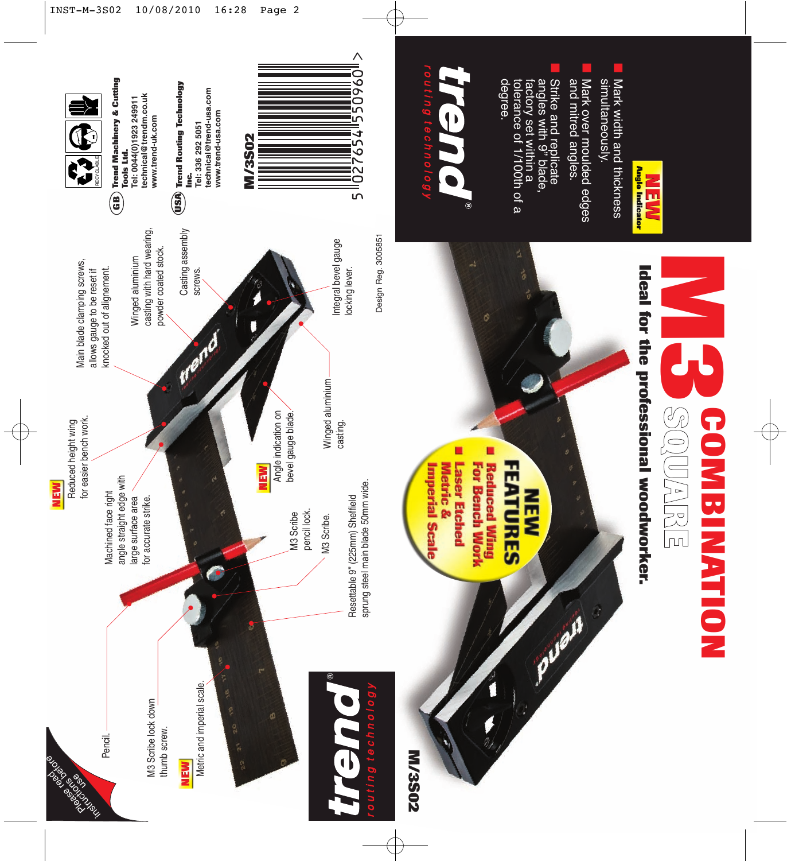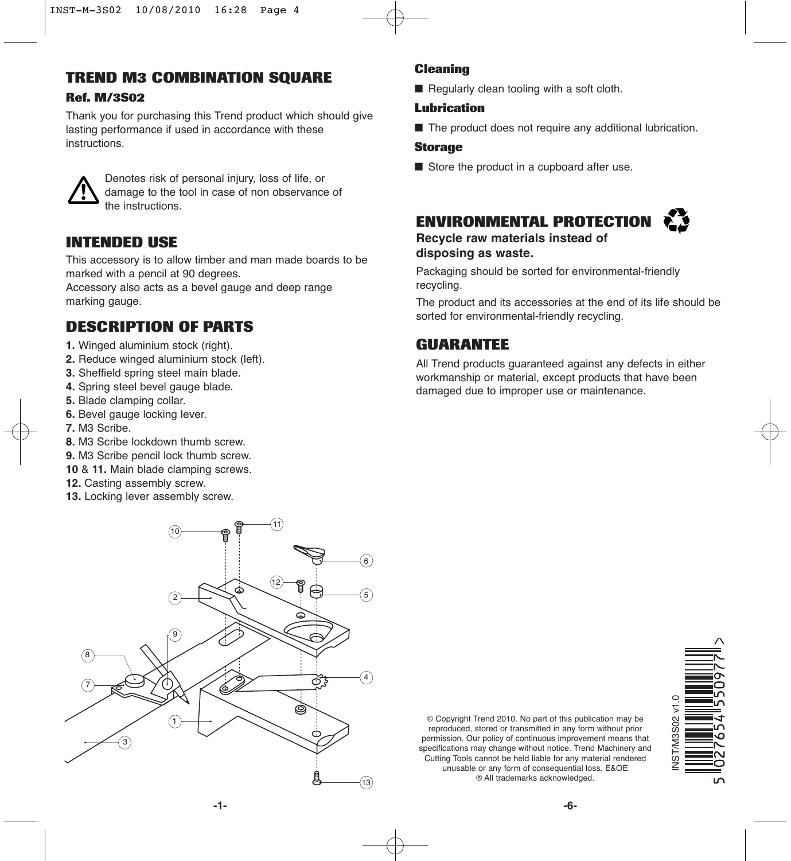# **TREND M3 COMBINATION SQUARE**

### **Ref. M/3S02**

Thank you for purchasing this Trend product which should give lasting performance if used in accordance with these instructions.



Denotes risk of personal injury, loss of life, or damage to the tool in case of non observance of the instructions.

### **INTENDED USE**

This accessory is to allow timber and man made boards to be marked with a pencil at 90 degrees.

Accessory also acts as a bevel gauge and deep range marking gauge.

## **DESCRIPTION OF PARTS**

- **1.** Winged aluminium stock (right).
- **2.** Reduce winged aluminium stock (left).
- **3.** Sheffield spring steel main blade.
- **4.** Spring steel bevel gauge blade.
- **5.** Blade clamping collar.
- **6.** Bevel gauge locking lever.
- **7.** M3 Scribe.
- **8.** M3 Scribe lockdown thumb screw.
- **9.** M3 Scribe pencil lock thumb screw.
- **10** & **11.** Main blade clamping screws.
- **12.** Casting assembly screw.
- **13.** Locking lever assembly screw.

### **Cleaning**

■ Regularly clean tooling with a soft cloth.

#### **Lubrication**

■ The product does not require any additional lubrication.

#### **Storage**

■ Store the product in a cupboard after use.

## **ENVIRONMENTAL PROTECTION**

**Recycle raw materials instead of disposing as waste.**

Packaging should be sorted for environmental-friendly recycling.

The product and its accessories at the end of its life should be sorted for environmental-friendly recycling.

### **GUARANTEE**

All Trend products guaranteed against any defects in either workmanship or material, except products that have been damaged due to improper use or maintenance.



© Copyright Trend 2010. No part of this publication may be reproduced, stored or transmitted in any form without prior permission. Our policy of continuous improvement means that specifications may change without notice. Trend Machinery and Cutting Tools cannot be held liable for any material rendered unusable or any form of consequential loss. E&OE ® All trademarks acknowledged.

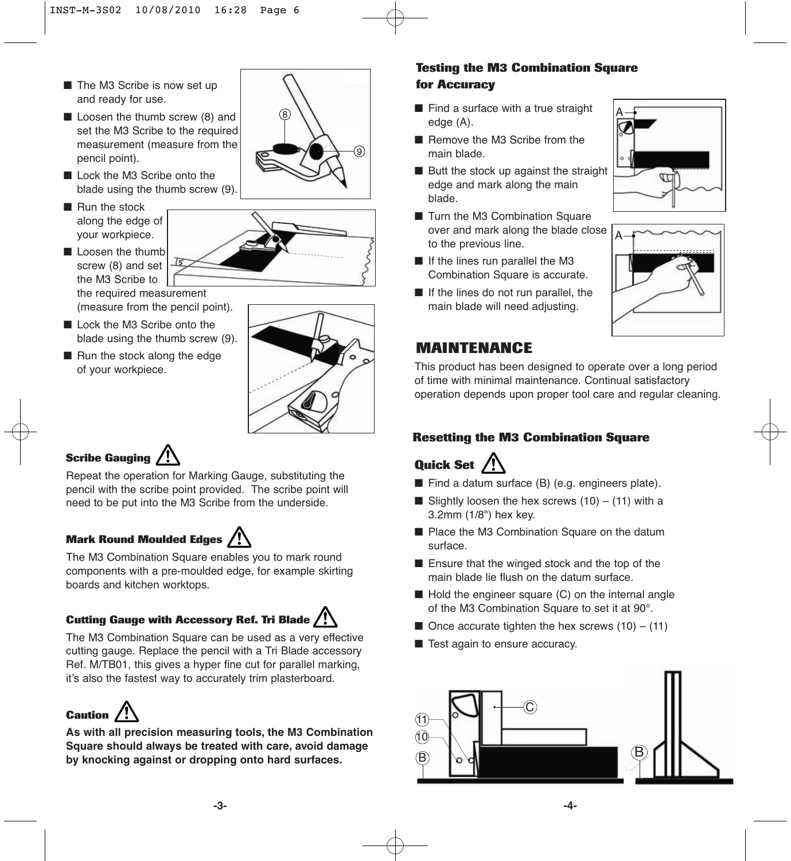- The M3 Scribe is now set up and ready for use.
- Loosen the thumb screw (8) and set the M3 Scribe to the required measurement (measure from the pencil point).
- Lock the M3 Scribe onto the blade using the thumb screw (9).
- Run the stock along the edge of your workpiece.
- Loosen the thumb screw (8) and set the M3 Scribe to
	- the required measurement (measure from the pencil point).
- Lock the M3 Scribe onto the blade using the thumb screw (9).
- Run the stock along the edge of your workpiece.

# **Scribe Gauging**

Repeat the operation for Marking Gauge, substituting the pencil with the scribe point provided. The scribe point will need to be put into the M3 Scribe from the underside.

### **Mark Round Moulded Edges**

The M3 Combination Square enables you to mark round components with a pre-moulded edge, for example skirting boards and kitchen worktops.

## **Cutting Gauge with Accessory Ref. Tri Blade**

The M3 Combination Square can be used as a very effective cutting gauge. Replace the pencil with a Tri Blade accessory Ref. M/TB01, this gives a hyper fine cut for parallel marking, it's also the fastest way to accurately trim plasterboard.

# **Caution**

**As with all precision measuring tools, the M3 Combination Square should always be treated with care, avoid damage by knocking against or dropping onto hard surfaces.**

### **Testing the M3 Combination Square for Accuracy**

- $\circledR$   $\setminus$   $\setminus$   $\blacksquare$  Find a surface with a true straight  $\setminus$ edge (A).
	- Remove the M3 Scribe from the main blade.
	- Butt the stock up against the straight edge and mark along the main blade.
	- Turn the M3 Combination Square over and mark along the blade close to the previous line.
	- If the lines run parallel the M3 Combination Square is accurate.
	- If the lines do not run parallel, the main blade will need adjusting.





## **MAINTENANCE**

This product has been designed to operate over a long period of time with minimal maintenance. Continual satisfactory operation depends upon proper tool care and regular cleaning.

### **Resetting the M3 Combination Square**

# **Quick Set**

- Find a datum surface (B) (e.g. engineers plate).
- Slightly loosen the hex screws  $(10) (11)$  with a 3.2mm (1/8") hex key.
- Place the M3 Combination Square on the datum surface.
- Ensure that the winged stock and the top of the main blade lie flush on the datum surface.
- Hold the engineer square (C) on the internal angle of the M3 Combination Square to set it at 90°.
- Once accurate tighten the hex screws  $(10) (11)$
- Test again to ensure accuracy.



**-3-**



9